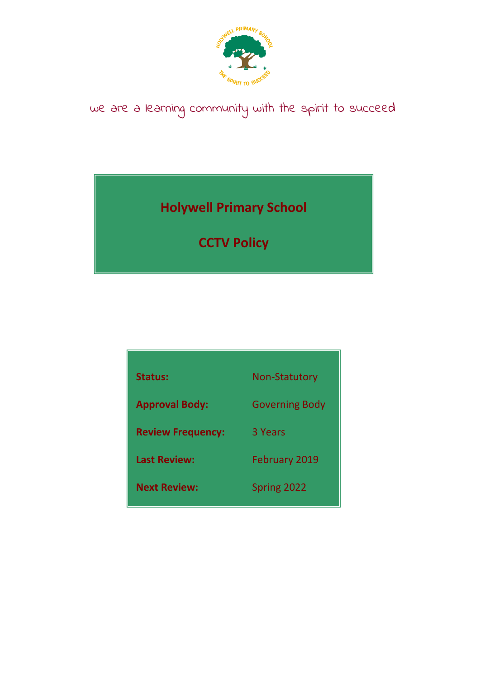

# we are a learning community with the spirit to succeed

**Holywell Primary School**

**CCTV Policy**

| <b>Status:</b>           | <b>Non-Statutory</b>  |  |
|--------------------------|-----------------------|--|
| <b>Approval Body:</b>    | <b>Governing Body</b> |  |
| <b>Review Frequency:</b> | 3 Years               |  |
| <b>Last Review:</b>      | <b>February 2019</b>  |  |
| <b>Next Review:</b>      | Spring 2022           |  |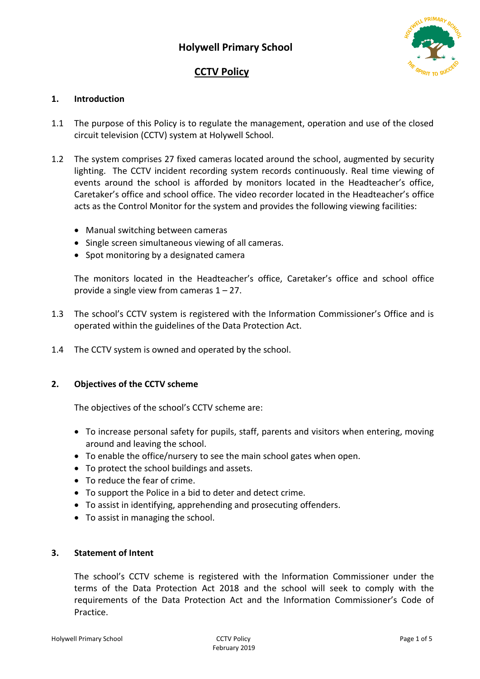## **CCTV Policy**



## **1. Introduction**

- 1.1 The purpose of this Policy is to regulate the management, operation and use of the closed circuit television (CCTV) system at Holywell School.
- 1.2 The system comprises 27 fixed cameras located around the school, augmented by security lighting. The CCTV incident recording system records continuously. Real time viewing of events around the school is afforded by monitors located in the Headteacher's office, Caretaker's office and school office. The video recorder located in the Headteacher's office acts as the Control Monitor for the system and provides the following viewing facilities:
	- Manual switching between cameras
	- Single screen simultaneous viewing of all cameras.
	- Spot monitoring by a designated camera

The monitors located in the Headteacher's office, Caretaker's office and school office provide a single view from cameras  $1 - 27$ .

- 1.3 The school's CCTV system is registered with the Information Commissioner's Office and is operated within the guidelines of the Data Protection Act.
- 1.4 The CCTV system is owned and operated by the school.

## **2. Objectives of the CCTV scheme**

The objectives of the school's CCTV scheme are:

- To increase personal safety for pupils, staff, parents and visitors when entering, moving around and leaving the school.
- To enable the office/nursery to see the main school gates when open.
- To protect the school buildings and assets.
- To reduce the fear of crime.
- To support the Police in a bid to deter and detect crime.
- To assist in identifying, apprehending and prosecuting offenders.
- To assist in managing the school.

## **3. Statement of Intent**

The school's CCTV scheme is registered with the Information Commissioner under the terms of the Data Protection Act 2018 and the school will seek to comply with the requirements of the Data Protection Act and the Information Commissioner's Code of Practice.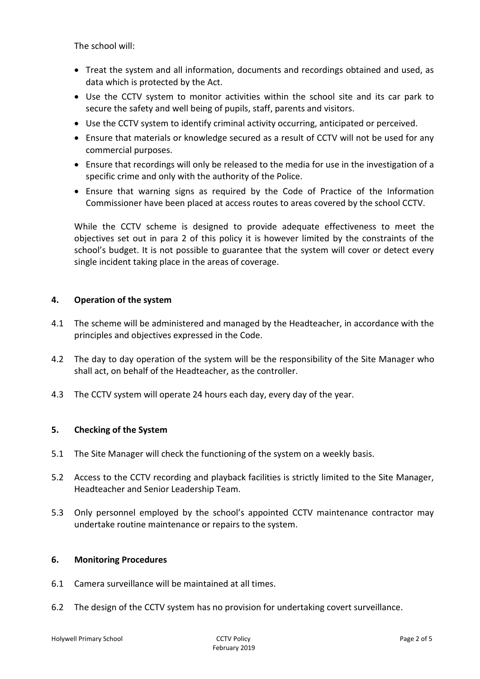The school will:

- Treat the system and all information, documents and recordings obtained and used, as data which is protected by the Act.
- Use the CCTV system to monitor activities within the school site and its car park to secure the safety and well being of pupils, staff, parents and visitors.
- Use the CCTV system to identify criminal activity occurring, anticipated or perceived.
- Ensure that materials or knowledge secured as a result of CCTV will not be used for any commercial purposes.
- Ensure that recordings will only be released to the media for use in the investigation of a specific crime and only with the authority of the Police.
- Ensure that warning signs as required by the Code of Practice of the Information Commissioner have been placed at access routes to areas covered by the school CCTV.

While the CCTV scheme is designed to provide adequate effectiveness to meet the objectives set out in para 2 of this policy it is however limited by the constraints of the school's budget. It is not possible to guarantee that the system will cover or detect every single incident taking place in the areas of coverage.

## **4. Operation of the system**

- 4.1 The scheme will be administered and managed by the Headteacher, in accordance with the principles and objectives expressed in the Code.
- 4.2 The day to day operation of the system will be the responsibility of the Site Manager who shall act, on behalf of the Headteacher, as the controller.
- 4.3 The CCTV system will operate 24 hours each day, every day of the year.

## **5. Checking of the System**

- 5.1 The Site Manager will check the functioning of the system on a weekly basis.
- 5.2 Access to the CCTV recording and playback facilities is strictly limited to the Site Manager, Headteacher and Senior Leadership Team.
- 5.3 Only personnel employed by the school's appointed CCTV maintenance contractor may undertake routine maintenance or repairs to the system.

## **6. Monitoring Procedures**

- 6.1 Camera surveillance will be maintained at all times.
- 6.2 The design of the CCTV system has no provision for undertaking covert surveillance.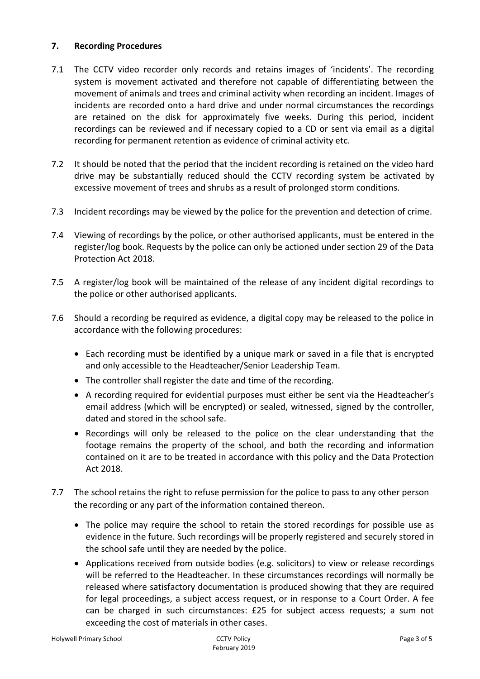## **7. Recording Procedures**

- 7.1 The CCTV video recorder only records and retains images of 'incidents'. The recording system is movement activated and therefore not capable of differentiating between the movement of animals and trees and criminal activity when recording an incident. Images of incidents are recorded onto a hard drive and under normal circumstances the recordings are retained on the disk for approximately five weeks. During this period, incident recordings can be reviewed and if necessary copied to a CD or sent via email as a digital recording for permanent retention as evidence of criminal activity etc.
- 7.2 It should be noted that the period that the incident recording is retained on the video hard drive may be substantially reduced should the CCTV recording system be activated by excessive movement of trees and shrubs as a result of prolonged storm conditions.
- 7.3 Incident recordings may be viewed by the police for the prevention and detection of crime.
- 7.4 Viewing of recordings by the police, or other authorised applicants, must be entered in the register/log book. Requests by the police can only be actioned under section 29 of the Data Protection Act 2018.
- 7.5 A register/log book will be maintained of the release of any incident digital recordings to the police or other authorised applicants.
- 7.6 Should a recording be required as evidence, a digital copy may be released to the police in accordance with the following procedures:
	- Each recording must be identified by a unique mark or saved in a file that is encrypted and only accessible to the Headteacher/Senior Leadership Team.
	- The controller shall register the date and time of the recording.
	- A recording required for evidential purposes must either be sent via the Headteacher's email address (which will be encrypted) or sealed, witnessed, signed by the controller, dated and stored in the school safe.
	- Recordings will only be released to the police on the clear understanding that the footage remains the property of the school, and both the recording and information contained on it are to be treated in accordance with this policy and the Data Protection Act 2018.
- 7.7 The school retains the right to refuse permission for the police to pass to any other person the recording or any part of the information contained thereon.
	- The police may require the school to retain the stored recordings for possible use as evidence in the future. Such recordings will be properly registered and securely stored in the school safe until they are needed by the police.
	- Applications received from outside bodies (e.g. solicitors) to view or release recordings will be referred to the Headteacher. In these circumstances recordings will normally be released where satisfactory documentation is produced showing that they are required for legal proceedings, a subject access request, or in response to a Court Order. A fee can be charged in such circumstances: £25 for subject access requests; a sum not exceeding the cost of materials in other cases.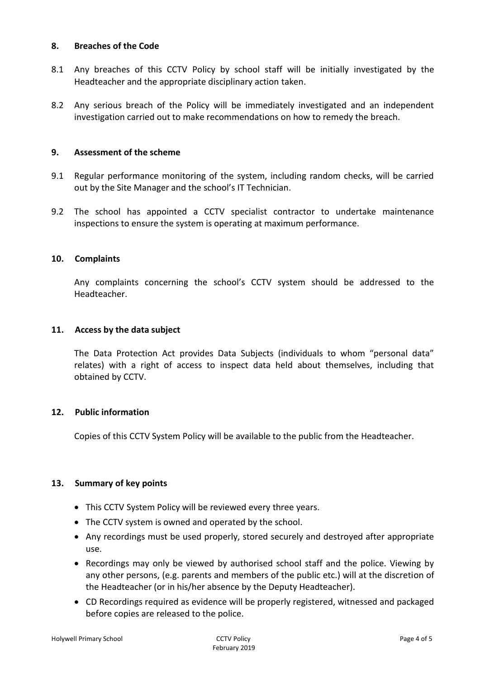#### **8. Breaches of the Code**

- 8.1 Any breaches of this CCTV Policy by school staff will be initially investigated by the Headteacher and the appropriate disciplinary action taken.
- 8.2 Any serious breach of the Policy will be immediately investigated and an independent investigation carried out to make recommendations on how to remedy the breach.

## **9. Assessment of the scheme**

- 9.1 Regular performance monitoring of the system, including random checks, will be carried out by the Site Manager and the school's IT Technician.
- 9.2 The school has appointed a CCTV specialist contractor to undertake maintenance inspections to ensure the system is operating at maximum performance.

#### **10. Complaints**

Any complaints concerning the school's CCTV system should be addressed to the Headteacher.

#### **11. Access by the data subject**

The Data Protection Act provides Data Subjects (individuals to whom "personal data" relates) with a right of access to inspect data held about themselves, including that obtained by CCTV.

#### **12. Public information**

Copies of this CCTV System Policy will be available to the public from the Headteacher.

#### **13. Summary of key points**

- This CCTV System Policy will be reviewed every three years.
- The CCTV system is owned and operated by the school.
- Any recordings must be used properly, stored securely and destroyed after appropriate use.
- Recordings may only be viewed by authorised school staff and the police. Viewing by any other persons, (e.g. parents and members of the public etc.) will at the discretion of the Headteacher (or in his/her absence by the Deputy Headteacher).
- CD Recordings required as evidence will be properly registered, witnessed and packaged before copies are released to the police.